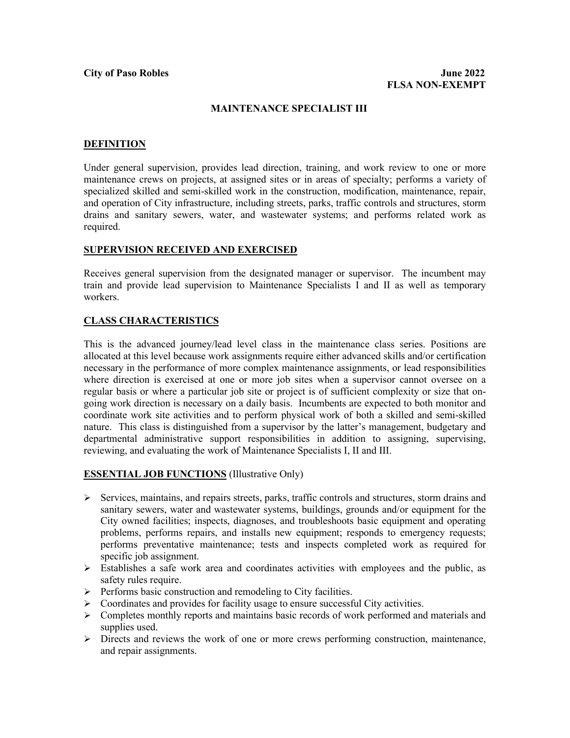### **MAINTENANCE SPECIALIST III**

### **DEFINITION**

Under general supervision, provides lead direction, training, and work review to one or more maintenance crews on projects, at assigned sites or in areas of specialty; performs a variety of specialized skilled and semi-skilled work in the construction, modification, maintenance, repair, and operation of City infrastructure, including streets, parks, traffic controls and structures, storm drains and sanitary sewers, water, and wastewater systems; and performs related work as required.

#### **SUPERVISION RECEIVED AND EXERCISED**

Receives general supervision from the designated manager or supervisor. The incumbent may train and provide lead supervision to Maintenance Specialists I and II as well as temporary workers.

# **CLASS CHARACTERISTICS**

This is the advanced journey/lead level class in the maintenance class series. Positions are allocated at this level because work assignments require either advanced skills and/or certification necessary in the performance of more complex maintenance assignments, or lead responsibilities where direction is exercised at one or more job sites when a supervisor cannot oversee on a regular basis or where a particular job site or project is of sufficient complexity or size that ongoing work direction is necessary on a daily basis. Incumbents are expected to both monitor and coordinate work site activities and to perform physical work of both a skilled and semi-skilled nature. This class is distinguished from a supervisor by the latter's management, budgetary and departmental administrative support responsibilities in addition to assigning, supervising, reviewing, and evaluating the work of Maintenance Specialists I, II and III.

#### **ESSENTIAL JOB FUNCTIONS** (Illustrative Only)

- $\triangleright$  Services, maintains, and repairs streets, parks, traffic controls and structures, storm drains and sanitary sewers, water and wastewater systems, buildings, grounds and/or equipment for the City owned facilities; inspects, diagnoses, and troubleshoots basic equipment and operating problems, performs repairs, and installs new equipment; responds to emergency requests; performs preventative maintenance; tests and inspects completed work as required for specific job assignment.
- $\triangleright$  Establishes a safe work area and coordinates activities with employees and the public, as safety rules require.
- $\triangleright$  Performs basic construction and remodeling to City facilities.
- Coordinates and provides for facility usage to ensure successful City activities.
- Completes monthly reports and maintains basic records of work performed and materials and supplies used.
- $\triangleright$  Directs and reviews the work of one or more crews performing construction, maintenance, and repair assignments.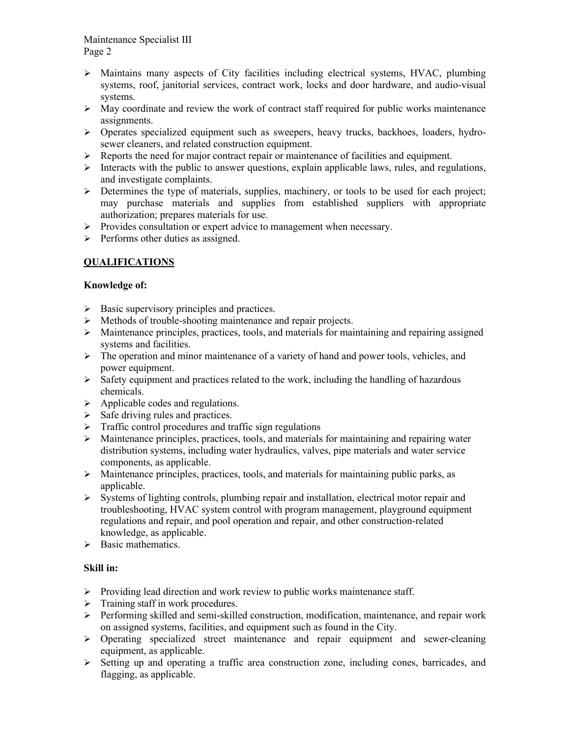Maintenance Specialist III Page 2

- $\triangleright$  Maintains many aspects of City facilities including electrical systems, HVAC, plumbing systems, roof, janitorial services, contract work, locks and door hardware, and audio-visual systems.
- $\triangleright$  May coordinate and review the work of contract staff required for public works maintenance assignments.
- $\triangleright$  Operates specialized equipment such as sweepers, heavy trucks, backhoes, loaders, hydrosewer cleaners, and related construction equipment.
- $\triangleright$  Reports the need for major contract repair or maintenance of facilities and equipment.
- $\triangleright$  Interacts with the public to answer questions, explain applicable laws, rules, and regulations, and investigate complaints.
- $\triangleright$  Determines the type of materials, supplies, machinery, or tools to be used for each project; may purchase materials and supplies from established suppliers with appropriate authorization; prepares materials for use.
- $\triangleright$  Provides consultation or expert advice to management when necessary.
- $\triangleright$  Performs other duties as assigned.

# **QUALIFICATIONS**

# **Knowledge of:**

- $\triangleright$  Basic supervisory principles and practices.
- $\triangleright$  Methods of trouble-shooting maintenance and repair projects.
- $\triangleright$  Maintenance principles, practices, tools, and materials for maintaining and repairing assigned systems and facilities.
- $\triangleright$  The operation and minor maintenance of a variety of hand and power tools, vehicles, and power equipment.
- $\triangleright$  Safety equipment and practices related to the work, including the handling of hazardous chemicals.
- $\triangleright$  Applicable codes and regulations.
- $\triangleright$  Safe driving rules and practices.
- $\triangleright$  Traffic control procedures and traffic sign regulations
- $\triangleright$  Maintenance principles, practices, tools, and materials for maintaining and repairing water distribution systems, including water hydraulics, valves, pipe materials and water service components, as applicable.
- $\triangleright$  Maintenance principles, practices, tools, and materials for maintaining public parks, as applicable.
- $\triangleright$  Systems of lighting controls, plumbing repair and installation, electrical motor repair and troubleshooting, HVAC system control with program management, playground equipment regulations and repair, and pool operation and repair, and other construction-related knowledge, as applicable.
- $\triangleright$  Basic mathematics.

# **Skill in:**

- $\triangleright$  Providing lead direction and work review to public works maintenance staff.
- $\triangleright$  Training staff in work procedures.
- Performing skilled and semi-skilled construction, modification, maintenance, and repair work on assigned systems, facilities, and equipment such as found in the City.
- $\triangleright$  Operating specialized street maintenance and repair equipment and sewer-cleaning equipment, as applicable.
- $\triangleright$  Setting up and operating a traffic area construction zone, including cones, barricades, and flagging, as applicable.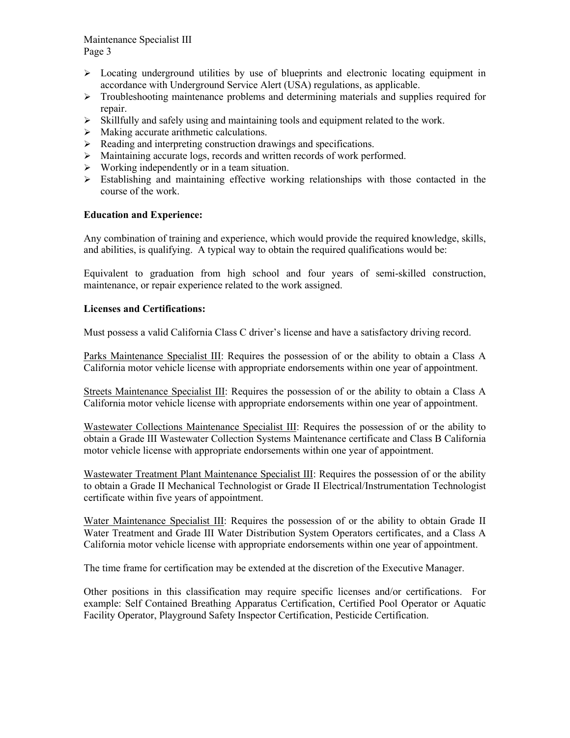Maintenance Specialist III Page 3

- $\triangleright$  Locating underground utilities by use of blueprints and electronic locating equipment in accordance with Underground Service Alert (USA) regulations, as applicable.
- $\triangleright$  Troubleshooting maintenance problems and determining materials and supplies required for repair.
- $\triangleright$  Skillfully and safely using and maintaining tools and equipment related to the work.
- $\triangleright$  Making accurate arithmetic calculations.
- $\triangleright$  Reading and interpreting construction drawings and specifications.
- Maintaining accurate logs, records and written records of work performed.
- $\triangleright$  Working independently or in a team situation.
- $\triangleright$  Establishing and maintaining effective working relationships with those contacted in the course of the work.

# **Education and Experience:**

Any combination of training and experience, which would provide the required knowledge, skills, and abilities, is qualifying. A typical way to obtain the required qualifications would be:

Equivalent to graduation from high school and four years of semi-skilled construction, maintenance, or repair experience related to the work assigned.

# **Licenses and Certifications:**

Must possess a valid California Class C driver's license and have a satisfactory driving record.

Parks Maintenance Specialist III: Requires the possession of or the ability to obtain a Class A California motor vehicle license with appropriate endorsements within one year of appointment.

Streets Maintenance Specialist III: Requires the possession of or the ability to obtain a Class A California motor vehicle license with appropriate endorsements within one year of appointment.

Wastewater Collections Maintenance Specialist III: Requires the possession of or the ability to obtain a Grade III Wastewater Collection Systems Maintenance certificate and Class B California motor vehicle license with appropriate endorsements within one year of appointment.

Wastewater Treatment Plant Maintenance Specialist III: Requires the possession of or the ability to obtain a Grade II Mechanical Technologist or Grade II Electrical/Instrumentation Technologist certificate within five years of appointment.

Water Maintenance Specialist III: Requires the possession of or the ability to obtain Grade II Water Treatment and Grade III Water Distribution System Operators certificates, and a Class A California motor vehicle license with appropriate endorsements within one year of appointment.

The time frame for certification may be extended at the discretion of the Executive Manager.

Other positions in this classification may require specific licenses and/or certifications. For example: Self Contained Breathing Apparatus Certification, Certified Pool Operator or Aquatic Facility Operator, Playground Safety Inspector Certification, Pesticide Certification.